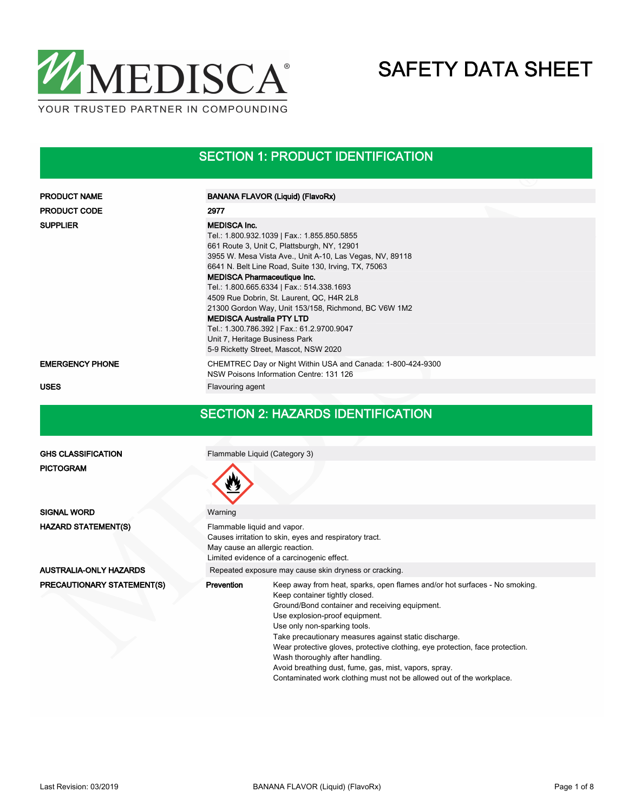

### SECTION 1: PRODUCT IDENTIFICATION

| <b>PRODUCT NAME</b>           | <b>BANANA FLAVOR (Liquid) (FlavoRx)</b>                                                                                                                                                                                                                                                                                                                                                                                                                                                                                                                                                    |  |  |  |  |
|-------------------------------|--------------------------------------------------------------------------------------------------------------------------------------------------------------------------------------------------------------------------------------------------------------------------------------------------------------------------------------------------------------------------------------------------------------------------------------------------------------------------------------------------------------------------------------------------------------------------------------------|--|--|--|--|
| <b>PRODUCT CODE</b>           | 2977                                                                                                                                                                                                                                                                                                                                                                                                                                                                                                                                                                                       |  |  |  |  |
| <b>SUPPLIER</b>               | <b>MEDISCA Inc.</b><br>Tel.: 1.800.932.1039   Fax.: 1.855.850.5855<br>661 Route 3, Unit C, Plattsburgh, NY, 12901<br>3955 W. Mesa Vista Ave., Unit A-10, Las Vegas, NV, 89118<br>6641 N. Belt Line Road, Suite 130, Irving, TX, 75063<br><b>MEDISCA Pharmaceutique Inc.</b><br>Tel.: 1.800.665.6334   Fax.: 514.338.1693<br>4509 Rue Dobrin, St. Laurent, QC, H4R 2L8<br>21300 Gordon Way, Unit 153/158, Richmond, BC V6W 1M2<br><b>MEDISCA Australia PTY LTD</b><br>Tel.: 1.300.786.392   Fax.: 61.2.9700.9047<br>Unit 7, Heritage Business Park<br>5-9 Ricketty Street, Mascot, NSW 2020 |  |  |  |  |
| <b>EMERGENCY PHONE</b>        | CHEMTREC Day or Night Within USA and Canada: 1-800-424-9300<br>NSW Poisons Information Centre: 131 126                                                                                                                                                                                                                                                                                                                                                                                                                                                                                     |  |  |  |  |
| <b>USES</b>                   | Flavouring agent                                                                                                                                                                                                                                                                                                                                                                                                                                                                                                                                                                           |  |  |  |  |
|                               | <b>SECTION 2: HAZARDS IDENTIFICATION</b>                                                                                                                                                                                                                                                                                                                                                                                                                                                                                                                                                   |  |  |  |  |
| <b>GHS CLASSIFICATION</b>     | Flammable Liquid (Category 3)                                                                                                                                                                                                                                                                                                                                                                                                                                                                                                                                                              |  |  |  |  |
| <b>PICTOGRAM</b>              |                                                                                                                                                                                                                                                                                                                                                                                                                                                                                                                                                                                            |  |  |  |  |
| <b>SIGNAL WORD</b>            | Warning                                                                                                                                                                                                                                                                                                                                                                                                                                                                                                                                                                                    |  |  |  |  |
| <b>HAZARD STATEMENT(S)</b>    | Flammable liquid and vapor.<br>Causes irritation to skin, eyes and respiratory tract.<br>May cause an allergic reaction.<br>Limited evidence of a carcinogenic effect.                                                                                                                                                                                                                                                                                                                                                                                                                     |  |  |  |  |
| <b>AUSTRALIA-ONLY HAZARDS</b> | Repeated exposure may cause skin dryness or cracking.                                                                                                                                                                                                                                                                                                                                                                                                                                                                                                                                      |  |  |  |  |
| PRECAUTIONARY STATEMENT(S)    | Prevention<br>Keep away from heat, sparks, open flames and/or hot surfaces - No smoking.<br>Keep container tightly closed.<br>Ground/Bond container and receiving equipment.<br>Use explosion-proof equipment.                                                                                                                                                                                                                                                                                                                                                                             |  |  |  |  |

Use only non-sparking tools.

Wash thoroughly after handling.

Take precautionary measures against static discharge.

Avoid breathing dust, fume, gas, mist, vapors, spray.

Wear protective gloves, protective clothing, eye protection, face protection.

Contaminated work clothing must not be allowed out of the workplace.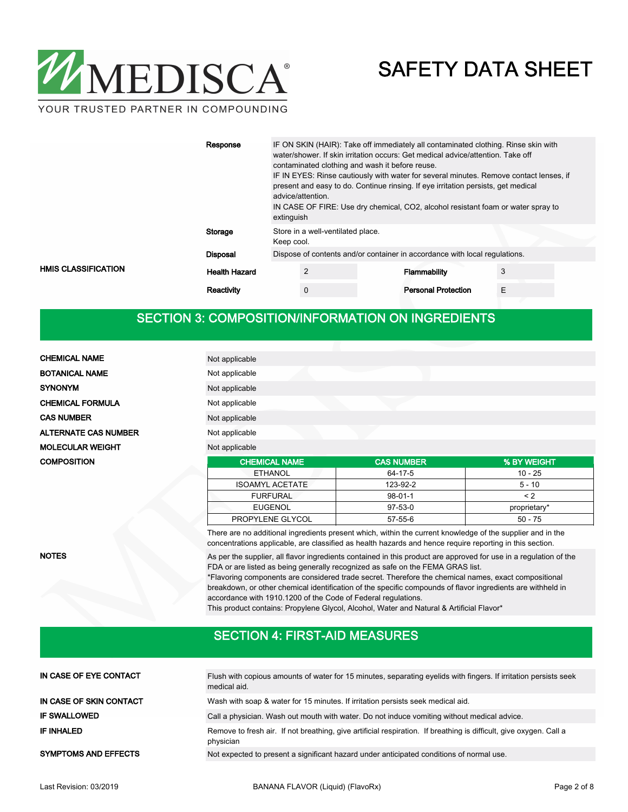

YOUR TRUSTED PARTNER IN COMPOUNDING

| Response                                           | IF ON SKIN (HAIR): Take off immediately all contaminated clothing. Rinse skin with<br>water/shower. If skin irritation occurs: Get medical advice/attention. Take off<br>contaminated clothing and wash it before reuse.<br>IF IN EYES: Rinse cautiously with water for several minutes. Remove contact lenses, if<br>present and easy to do. Continue rinsing. If eye irritation persists, get medical<br>advice/attention.<br>IN CASE OF FIRE: Use dry chemical, CO2, alcohol resistant foam or water spray to<br>extinguish |                                                                            |   |  |  |  |
|----------------------------------------------------|--------------------------------------------------------------------------------------------------------------------------------------------------------------------------------------------------------------------------------------------------------------------------------------------------------------------------------------------------------------------------------------------------------------------------------------------------------------------------------------------------------------------------------|----------------------------------------------------------------------------|---|--|--|--|
| Storage                                            | Store in a well-ventilated place.<br>Keep cool.                                                                                                                                                                                                                                                                                                                                                                                                                                                                                |                                                                            |   |  |  |  |
| <b>Disposal</b>                                    |                                                                                                                                                                                                                                                                                                                                                                                                                                                                                                                                | Dispose of contents and/or container in accordance with local regulations. |   |  |  |  |
| <b>HMIS CLASSIFICATION</b><br><b>Health Hazard</b> | $\overline{2}$                                                                                                                                                                                                                                                                                                                                                                                                                                                                                                                 | Flammability                                                               |   |  |  |  |
| Reactivity                                         | $\mathbf 0$                                                                                                                                                                                                                                                                                                                                                                                                                                                                                                                    | <b>Personal Protection</b>                                                 | E |  |  |  |

## SECTION 3: COMPOSITION/INFORMATION ON INGREDIENTS

| <b>CHEMICAL NAME</b>        | Not applicable       |                   |             |
|-----------------------------|----------------------|-------------------|-------------|
| <b>BOTANICAL NAME</b>       | Not applicable       |                   |             |
| <b>SYNONYM</b>              | Not applicable       |                   |             |
| <b>CHEMICAL FORMULA</b>     | Not applicable       |                   |             |
| <b>CAS NUMBER</b>           | Not applicable       |                   |             |
| <b>ALTERNATE CAS NUMBER</b> | Not applicable       |                   |             |
| <b>MOLECULAR WEIGHT</b>     | Not applicable       |                   |             |
| <b>COMPOSITION</b>          | <b>CHEMICAL NAME</b> | <b>CAS NUMBER</b> | % BY WEIGHT |
|                             | <b>ETHANOL</b>       | 64-17-5           | $10 - 25$   |

**NOTES** 

| EUGENOL                                                                                                    | $97-53-0$ | proprietary* |  |  |  |  |
|------------------------------------------------------------------------------------------------------------|-----------|--------------|--|--|--|--|
| PROPYLENE GLYCOL                                                                                           | 57-55-6   | $50 - 75$    |  |  |  |  |
| There are no additional ingredients present which, within the current knowledge of the supplier and in the |           |              |  |  |  |  |

concentrations applicable, are classified as health hazards and hence require reporting in this section.

ISOAMYL ACETATE 123-92-2 5 - 10 FURFURAL 98-01-1 <2

As per the supplier, all flavor ingredients contained in this product are approved for use in a regulation of the FDA or are listed as being generally recognized as safe on the FEMA GRAS list.

\*Flavoring components are considered trade secret. Therefore the chemical names, exact compositional breakdown, or other chemical identification of the specific compounds of flavor ingredients are withheld in accordance with 1910.1200 of the Code of Federal regulations.

This product contains: Propylene Glycol, Alcohol, Water and Natural & Artificial Flavor\*

### SECTION 4: FIRST-AID MEASURES

| IN CASE OF EYE CONTACT      | Flush with copious amounts of water for 15 minutes, separating eyelids with fingers. If irritation persists seek<br>medical aid. |
|-----------------------------|----------------------------------------------------------------------------------------------------------------------------------|
| IN CASE OF SKIN CONTACT     | Wash with soap & water for 15 minutes. If irritation persists seek medical aid.                                                  |
| <b>IF SWALLOWED</b>         | Call a physician. Wash out mouth with water. Do not induce vomiting without medical advice.                                      |
| IF INHALED                  | Remove to fresh air. If not breathing, give artificial respiration. If breathing is difficult, give oxygen. Call a<br>physician  |
| <b>SYMPTOMS AND EFFECTS</b> | Not expected to present a significant hazard under anticipated conditions of normal use.                                         |
|                             |                                                                                                                                  |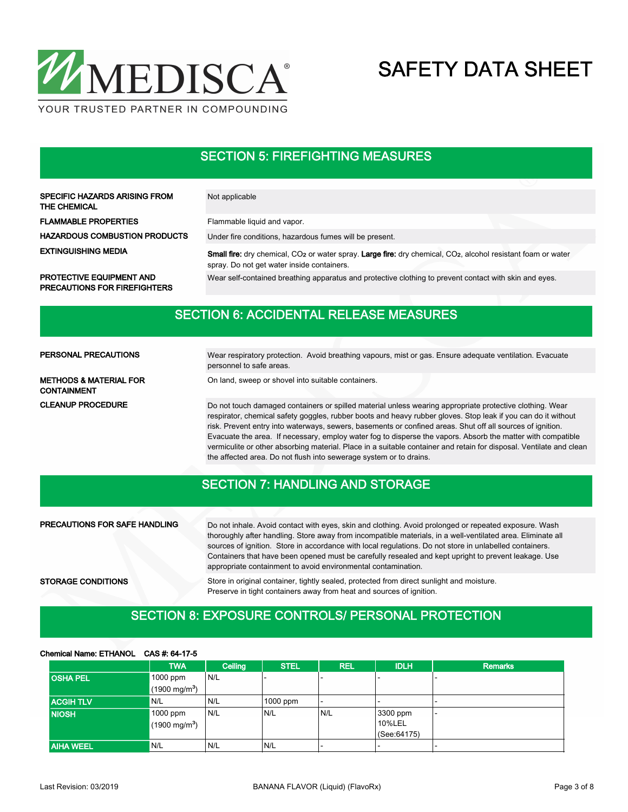

### SECTION 5: FIREFIGHTING MEASURES

| <b>SPECIFIC HAZARDS ARISING FROM</b><br>THE CHEMICAL                   | Not applicable                                                                                                                                                                      |  |
|------------------------------------------------------------------------|-------------------------------------------------------------------------------------------------------------------------------------------------------------------------------------|--|
| <b>FLAMMABLE PROPERTIES</b>                                            | Flammable liquid and vapor.                                                                                                                                                         |  |
| <b>HAZARDOUS COMBUSTION PRODUCTS</b>                                   | Under fire conditions, hazardous fumes will be present.                                                                                                                             |  |
| <b>EXTINGUISHING MEDIA</b>                                             | Small fire: dry chemical, CO <sub>2</sub> or water spray. Large fire: dry chemical, CO <sub>2</sub> , alcohol resistant foam or water<br>spray. Do not get water inside containers. |  |
| <b>PROTECTIVE EQUIPMENT AND</b><br><b>PRECAUTIONS FOR FIREFIGHTERS</b> | Wear self-contained breathing apparatus and protective clothing to prevent contact with skin and eyes.                                                                              |  |

## SECTION 6: ACCIDENTAL RELEASE MEASURES

| PERSONAL PRECAUTIONS                                    | Wear respiratory protection. Avoid breathing vapours, mist or gas. Ensure adequate ventilation. Evacuate<br>personnel to safe areas.                                                                                                                                                                                                                                                                                                                                                                                                                                                                                                                |  |  |  |  |  |
|---------------------------------------------------------|-----------------------------------------------------------------------------------------------------------------------------------------------------------------------------------------------------------------------------------------------------------------------------------------------------------------------------------------------------------------------------------------------------------------------------------------------------------------------------------------------------------------------------------------------------------------------------------------------------------------------------------------------------|--|--|--|--|--|
| <b>METHODS &amp; MATERIAL FOR</b><br><b>CONTAINMENT</b> | On land, sweep or shovel into suitable containers.                                                                                                                                                                                                                                                                                                                                                                                                                                                                                                                                                                                                  |  |  |  |  |  |
| <b>CLEANUP PROCEDURE</b>                                | Do not touch damaged containers or spilled material unless wearing appropriate protective clothing. Wear<br>respirator, chemical safety goggles, rubber boots and heavy rubber gloves. Stop leak if you can do it without<br>risk. Prevent entry into waterways, sewers, basements or confined areas. Shut off all sources of ignition.<br>Evacuate the area. If necessary, employ water fog to disperse the vapors. Absorb the matter with compatible<br>vermiculite or other absorbing material. Place in a suitable container and retain for disposal. Ventilate and clean<br>the affected area. Do not flush into sewerage system or to drains. |  |  |  |  |  |

### SECTION 7: HANDLING AND STORAGE

| <b>PRECAUTIONS FOR SAFE HANDLING</b> | Do not inhale. Avoid contact with eyes, skin and clothing. Avoid prolonged or repeated exposure. Wash<br>thoroughly after handling. Store away from incompatible materials, in a well-ventilated area. Eliminate all<br>sources of ignition. Store in accordance with local regulations. Do not store in unlabelled containers.<br>Containers that have been opened must be carefully resealed and kept upright to prevent leakage. Use<br>appropriate containment to avoid environmental contamination. |
|--------------------------------------|----------------------------------------------------------------------------------------------------------------------------------------------------------------------------------------------------------------------------------------------------------------------------------------------------------------------------------------------------------------------------------------------------------------------------------------------------------------------------------------------------------|
| <b>STORAGE CONDITIONS</b>            | Store in original container, tightly sealed, protected from direct sunlight and moisture.<br>Preserve in tight containers away from heat and sources of ignition.                                                                                                                                                                                                                                                                                                                                        |

## SECTION 8: EXPOSURE CONTROLS/ PERSONAL PROTECTION

#### Chemical Name: ETHANOL CAS #: 64-17-5

|                  | <b>TWA</b>              | Ceiling | <b>STEL</b> | <b>REL</b> | <b>IDLH</b>  | <b>Remarks</b>           |
|------------------|-------------------------|---------|-------------|------------|--------------|--------------------------|
| <b>OSHA PEL</b>  | 1000 ppm                | N/L     |             |            |              |                          |
|                  | $(1900 \text{ mg/m}^3)$ |         |             |            |              |                          |
| <b>ACGIH TLV</b> | N/L                     | N/L     | 1000 ppm    |            |              | $\overline{\phantom{a}}$ |
| <b>NIOSH</b>     | 1000 ppm                | N/L     | N/L         | N/L        | 3300 ppm     | $\overline{\phantom{a}}$ |
|                  | $(1900 \text{ mg/m}^3)$ |         |             |            | 10%LEL       |                          |
|                  |                         |         |             |            | (See: 64175) |                          |
| <b>AIHA WEEL</b> | 'N/L                    | N/L     | N/L         |            |              | $\overline{\phantom{0}}$ |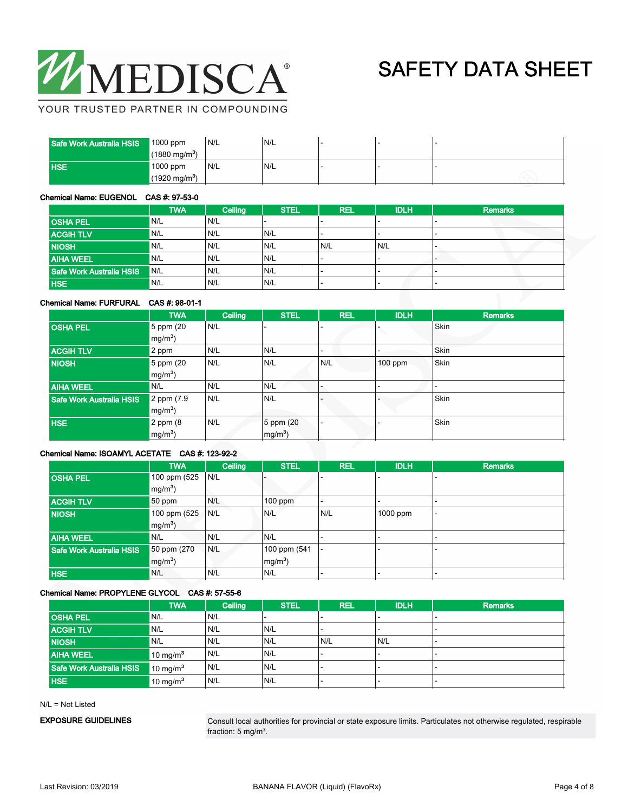

YOUR TRUSTED PARTNER IN COMPOUNDING

| Safe Work Australia HSIS | $1000$ ppm              | N/L  | N/L |  |  |
|--------------------------|-------------------------|------|-----|--|--|
|                          | $(1880 \text{ mg/m}^3)$ |      |     |  |  |
| <b>HSE</b>               | 1000 ppm                | 'N/L | N/L |  |  |
|                          | $(1920 \text{ mg/m}^3)$ |      |     |  |  |

#### Chemical Name: EUGENOL CAS #: 97-53-0

|                          | <b>TWA</b> | Ceiling | <b>STEL</b> | REL | <b>IDLH</b> | <b>Remarks</b> |
|--------------------------|------------|---------|-------------|-----|-------------|----------------|
| <b>OSHA PEL</b>          | N/L        | N/L     |             |     |             |                |
| <b>ACGIH TLV</b>         | N/L        | N/L     | N/L         |     |             |                |
| <b>NIOSH</b>             | N/L        | N/L     | N/L         | N/L | N/L         |                |
| <b>AIHA WEEL</b>         | N/L        | N/L     | N/L         |     |             |                |
| Safe Work Australia HSIS | <b>N/L</b> | N/L     | N/L         |     |             |                |
| <b>HSE</b>               | N/L        | N/L     | N/L         |     |             |                |

#### Chemical Name: FURFURAL CAS #: 98-01-1

|                          | <b>TWA</b>     | Ceiling | <b>STEL</b> | <b>REL</b> | <b>IDLH</b> | <b>Remarks</b> |
|--------------------------|----------------|---------|-------------|------------|-------------|----------------|
| <b>OSHA PEL</b>          | 5 ppm (20      | N/L     |             |            |             | Skin           |
|                          | $mg/m3$ )      |         |             |            |             |                |
| <b>ACGIH TLV</b>         | 2 ppm          | N/L     | N/L         |            |             | Skin           |
| <b>NIOSH</b>             | $5$ ppm $(20)$ | N/L     | N/L         | N/L        | 100 ppm     | Skin           |
|                          | $mg/m3$ )      |         |             |            |             |                |
| <b>AIHA WEEL</b>         | N/L            | N/L     | N/L         |            |             |                |
| Safe Work Australia HSIS | 2 ppm (7.9)    | N/L     | N/L         |            |             | Skin           |
|                          | $mg/m3$ )      |         |             |            |             |                |
| <b>HSE</b>               | $2$ ppm $(8)$  | N/L     | 5 ppm (20   |            |             | Skin           |
|                          | $mg/m3$ )      |         | $mg/m^3$ )  |            |             |                |

### Chemical Name: ISOAMYL ACETATE CAS #: 123-92-2

|                          | <b>TWA</b>   | Ceiling | <b>STEL</b>  | <b>REL</b> | <b>IDLH</b> | <b>Remarks</b> |
|--------------------------|--------------|---------|--------------|------------|-------------|----------------|
| <b>OSHA PEL</b>          | 100 ppm (525 | N/L     |              |            |             |                |
|                          | $mg/m3$ )    |         |              |            |             |                |
| <b>ACGIH TLV</b>         | 50 ppm       | N/L     | $100$ ppm    |            |             |                |
| <b>NIOSH</b>             | 100 ppm (525 | N/L     | N/L          | N/L        | 1000 ppm    |                |
|                          | $mg/m^3$ )   |         |              |            |             |                |
| <b>AIHA WEEL</b>         | N/L          | N/L     | N/L          |            |             |                |
| Safe Work Australia HSIS | 50 ppm (270) | N/L     | 100 ppm (541 |            |             |                |
|                          | $mg/m3$ )    |         | $mg/m^3$     |            |             |                |
| <b>HSE</b>               | N/L          | N/L     | N/L          |            |             |                |

#### Chemical Name: PROPYLENE GLYCOL CAS #: 57-55-6

|                          | <b>TWA</b>           | Ceiling | <b>STEL</b> | <b>REL</b>               | <b>IDLH</b> | <b>Remarks</b>           |
|--------------------------|----------------------|---------|-------------|--------------------------|-------------|--------------------------|
| <b>OSHA PEL</b>          | N/L                  | N/L     |             | $\overline{\phantom{a}}$ |             | $\overline{\phantom{0}}$ |
| <b>ACGIH TLV</b>         | N/L                  | N/L     | N/L         |                          |             | -                        |
| <b>NIOSH</b>             | IN/L                 | N/L     | N/L         | N/L                      | N/L         |                          |
| <b>AIHA WEEL</b>         | 10 mg/m <sup>3</sup> | N/L     | N/L         | $\overline{\phantom{0}}$ |             | $\overline{\phantom{a}}$ |
| Safe Work Australia HSIS | $10 \text{ mg/m}^3$  | N/L     | N/L         |                          |             |                          |
| HSE.                     | 10 mg/ $m3$          | N/L     | N/L         |                          |             | $\overline{\phantom{0}}$ |

N/L = Not Listed

EXPOSURE GUIDELINES

Consult local authorities for provincial or state exposure limits. Particulates not otherwise regulated, respirable fraction: 5 mg/m<sup>3</sup>.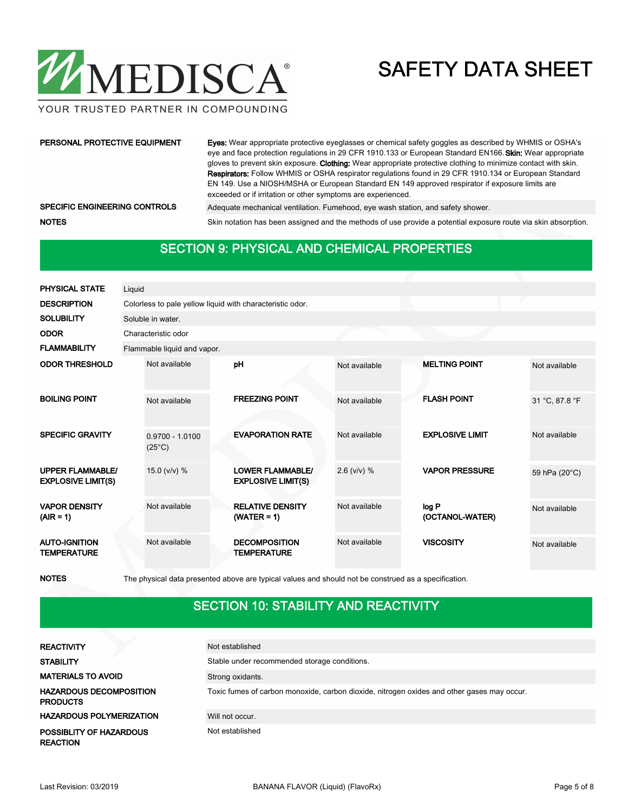

#### YOUR TRUSTED PARTNER IN COMPOUNDING

#### PERSONAL PROTECTIVE EQUIPMENT

Eyes: Wear appropriate protective eyeglasses or chemical safety goggles as described by WHMIS or OSHA's eye and face protection regulations in 29 CFR 1910.133 or European Standard EN166. Skin: Wear appropriate gloves to prevent skin exposure. Clothing: Wear appropriate protective clothing to minimize contact with skin. Respirators: Follow WHMIS or OSHA respirator regulations found in 29 CFR 1910.134 or European Standard EN 149. Use a NIOSH/MSHA or European Standard EN 149 approved respirator if exposure limits are exceeded or if irritation or other symptoms are experienced.

SPECIFIC ENGINEERING CONTROLS Adequate mechanical ventilation. Fumehood, eye wash station, and safety shower.

NOTES Skin notation has been assigned and the methods of use provide a potential exposure route via skin absorption.

### SECTION 9: PHYSICAL AND CHEMICAL PROPERTIES

| <b>PHYSICAL STATE</b>                                | Liquid |                                                           |  |                                                      |               |  |                          |                |  |
|------------------------------------------------------|--------|-----------------------------------------------------------|--|------------------------------------------------------|---------------|--|--------------------------|----------------|--|
| <b>DESCRIPTION</b>                                   |        | Colorless to pale yellow liquid with characteristic odor. |  |                                                      |               |  |                          |                |  |
| <b>SOLUBILITY</b>                                    |        | Soluble in water.                                         |  |                                                      |               |  |                          |                |  |
| <b>ODOR</b>                                          |        | Characteristic odor                                       |  |                                                      |               |  |                          |                |  |
| <b>FLAMMABILITY</b>                                  |        | Flammable liquid and vapor.                               |  |                                                      |               |  |                          |                |  |
| <b>ODOR THRESHOLD</b>                                |        | Not available                                             |  | pH                                                   | Not available |  | <b>MELTING POINT</b>     | Not available  |  |
| <b>BOILING POINT</b>                                 |        | Not available                                             |  | <b>FREEZING POINT</b>                                | Not available |  | <b>FLASH POINT</b>       | 31 °C, 87.8 °F |  |
| <b>SPECIFIC GRAVITY</b>                              |        | $0.9700 - 1.0100$<br>$(25^{\circ}C)$                      |  | <b>EVAPORATION RATE</b>                              | Not available |  | <b>EXPLOSIVE LIMIT</b>   | Not available  |  |
| <b>UPPER FLAMMABLE/</b><br><b>EXPLOSIVE LIMIT(S)</b> |        | 15.0 ( $v/v$ ) %                                          |  | <b>LOWER FLAMMABLE/</b><br><b>EXPLOSIVE LIMIT(S)</b> | $2.6$ (v/v) % |  | <b>VAPOR PRESSURE</b>    | 59 hPa (20°C)  |  |
| <b>VAPOR DENSITY</b><br>$(AIR = 1)$                  |        | Not available                                             |  | <b>RELATIVE DENSITY</b><br>$(WATER = 1)$             | Not available |  | log P<br>(OCTANOL-WATER) | Not available  |  |
| <b>AUTO-IGNITION</b><br><b>TEMPERATURE</b>           |        | Not available                                             |  | <b>DECOMPOSITION</b><br><b>TEMPERATURE</b>           | Not available |  | <b>VISCOSITY</b>         | Not available  |  |

NOTES The physical data presented above are typical values and should not be construed as a specification.

### SECTION 10: STABILITY AND REACTIVITY

| <b>REACTIVITY</b>                                 | Not established                                                                            |
|---------------------------------------------------|--------------------------------------------------------------------------------------------|
| <b>STABILITY</b>                                  | Stable under recommended storage conditions.                                               |
| <b>MATERIALS TO AVOID</b>                         | Strong oxidants.                                                                           |
| <b>HAZARDOUS DECOMPOSITION</b><br><b>PRODUCTS</b> | Toxic fumes of carbon monoxide, carbon dioxide, nitrogen oxides and other gases may occur. |
| <b>HAZARDOUS POLYMERIZATION</b>                   | Will not occur.                                                                            |
| POSSIBLITY OF HAZARDOUS<br><b>REACTION</b>        | Not established                                                                            |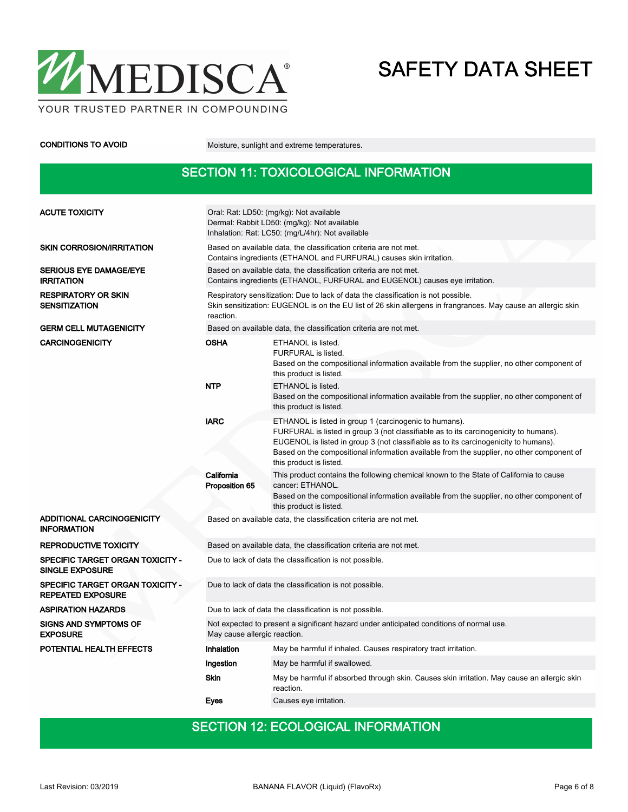

CONDITIONS TO AVOID Moisture, sunlight and extreme temperatures.

## SECTION 11: TOXICOLOGICAL INFORMATION

| <b>ACUTE TOXICITY</b>                                        | Oral: Rat: LD50: (mg/kg): Not available<br>Dermal: Rabbit LD50: (mg/kg): Not available<br>Inhalation: Rat: LC50: (mg/L/4hr): Not available                                                                       |                                                                                                                                                                                                                                                                                                                                                                 |  |  |  |
|--------------------------------------------------------------|------------------------------------------------------------------------------------------------------------------------------------------------------------------------------------------------------------------|-----------------------------------------------------------------------------------------------------------------------------------------------------------------------------------------------------------------------------------------------------------------------------------------------------------------------------------------------------------------|--|--|--|
| <b>SKIN CORROSION/IRRITATION</b>                             | Based on available data, the classification criteria are not met.<br>Contains ingredients (ETHANOL and FURFURAL) causes skin irritation.                                                                         |                                                                                                                                                                                                                                                                                                                                                                 |  |  |  |
| <b>SERIOUS EYE DAMAGE/EYE</b><br><b>IRRITATION</b>           | Based on available data, the classification criteria are not met.<br>Contains ingredients (ETHANOL, FURFURAL and EUGENOL) causes eye irritation.                                                                 |                                                                                                                                                                                                                                                                                                                                                                 |  |  |  |
| <b>RESPIRATORY OR SKIN</b><br><b>SENSITIZATION</b>           | Respiratory sensitization: Due to lack of data the classification is not possible.<br>Skin sensitization: EUGENOL is on the EU list of 26 skin allergens in frangrances. May cause an allergic skin<br>reaction. |                                                                                                                                                                                                                                                                                                                                                                 |  |  |  |
| <b>GERM CELL MUTAGENICITY</b>                                |                                                                                                                                                                                                                  | Based on available data, the classification criteria are not met.                                                                                                                                                                                                                                                                                               |  |  |  |
| <b>CARCINOGENICITY</b>                                       | <b>OSHA</b>                                                                                                                                                                                                      | ETHANOL is listed.<br>FURFURAL is listed.<br>Based on the compositional information available from the supplier, no other component of<br>this product is listed.                                                                                                                                                                                               |  |  |  |
|                                                              | <b>NTP</b>                                                                                                                                                                                                       | ETHANOL is listed.<br>Based on the compositional information available from the supplier, no other component of<br>this product is listed.                                                                                                                                                                                                                      |  |  |  |
|                                                              | <b>IARC</b>                                                                                                                                                                                                      | ETHANOL is listed in group 1 (carcinogenic to humans).<br>FURFURAL is listed in group 3 (not classifiable as to its carcinogenicity to humans).<br>EUGENOL is listed in group 3 (not classifiable as to its carcinogenicity to humans).<br>Based on the compositional information available from the supplier, no other component of<br>this product is listed. |  |  |  |
|                                                              | California<br>Proposition 65                                                                                                                                                                                     | This product contains the following chemical known to the State of California to cause<br>cancer: ETHANOL.<br>Based on the compositional information available from the supplier, no other component of<br>this product is listed.                                                                                                                              |  |  |  |
| ADDITIONAL CARCINOGENICITY<br><b>INFORMATION</b>             |                                                                                                                                                                                                                  | Based on available data, the classification criteria are not met.                                                                                                                                                                                                                                                                                               |  |  |  |
| <b>REPRODUCTIVE TOXICITY</b>                                 |                                                                                                                                                                                                                  | Based on available data, the classification criteria are not met.                                                                                                                                                                                                                                                                                               |  |  |  |
| SPECIFIC TARGET ORGAN TOXICITY -<br><b>SINGLE EXPOSURE</b>   | Due to lack of data the classification is not possible.                                                                                                                                                          |                                                                                                                                                                                                                                                                                                                                                                 |  |  |  |
| SPECIFIC TARGET ORGAN TOXICITY -<br><b>REPEATED EXPOSURE</b> | Due to lack of data the classification is not possible.                                                                                                                                                          |                                                                                                                                                                                                                                                                                                                                                                 |  |  |  |
| <b>ASPIRATION HAZARDS</b>                                    | Due to lack of data the classification is not possible.                                                                                                                                                          |                                                                                                                                                                                                                                                                                                                                                                 |  |  |  |
| <b>SIGNS AND SYMPTOMS OF</b><br><b>EXPOSURE</b>              | Not expected to present a significant hazard under anticipated conditions of normal use.<br>May cause allergic reaction.                                                                                         |                                                                                                                                                                                                                                                                                                                                                                 |  |  |  |
| POTENTIAL HEALTH EFFECTS                                     | Inhalation                                                                                                                                                                                                       | May be harmful if inhaled. Causes respiratory tract irritation.                                                                                                                                                                                                                                                                                                 |  |  |  |
|                                                              | Ingestion                                                                                                                                                                                                        | May be harmful if swallowed.                                                                                                                                                                                                                                                                                                                                    |  |  |  |
|                                                              | <b>Skin</b>                                                                                                                                                                                                      | May be harmful if absorbed through skin. Causes skin irritation. May cause an allergic skin<br>reaction.                                                                                                                                                                                                                                                        |  |  |  |
|                                                              | Eves                                                                                                                                                                                                             | Causes eve irritation.                                                                                                                                                                                                                                                                                                                                          |  |  |  |

## SECTION 12: ECOLOGICAL INFORMATION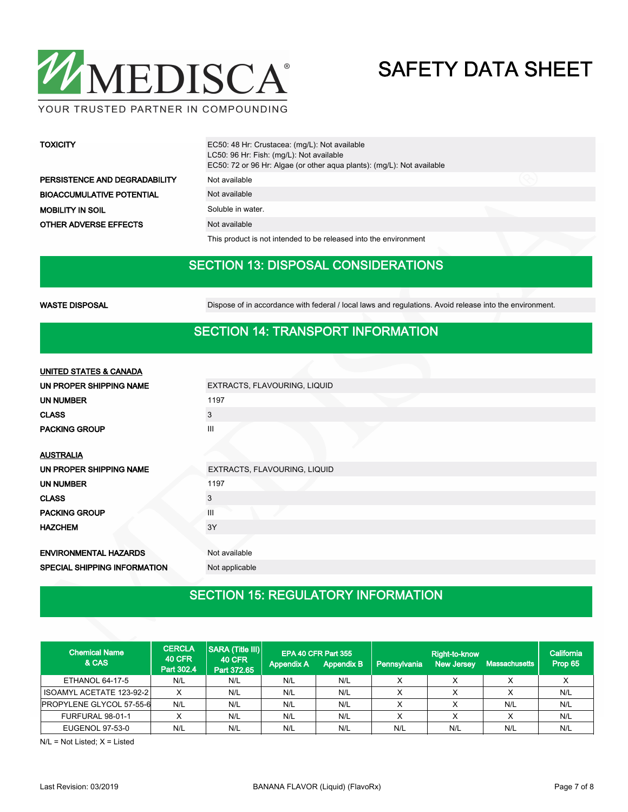

#### YOUR TRUSTED PARTNER IN COMPOUNDING

| <b>TOXICITY</b>                  | EC50: 48 Hr: Crustacea: (mg/L): Not available<br>LC50: 96 Hr: Fish: (mg/L): Not available<br>EC50: 72 or 96 Hr: Algae (or other agua plants): (mg/L): Not available |  |
|----------------------------------|---------------------------------------------------------------------------------------------------------------------------------------------------------------------|--|
| PERSISTENCE AND DEGRADABILITY    | Not available                                                                                                                                                       |  |
| <b>BIOACCUMULATIVE POTENTIAL</b> | Not available                                                                                                                                                       |  |
| <b>MOBILITY IN SOIL</b>          | Soluble in water.                                                                                                                                                   |  |
| <b>OTHER ADVERSE EFFECTS</b>     | Not available                                                                                                                                                       |  |

This product is not intended to be released into the environment

## SECTION 13: DISPOSAL CONSIDERATIONS

WASTE DISPOSAL **Dispose of in accordance with federal / local laws and regulations**. Avoid release into the environment.

### SECTION 14: TRANSPORT INFORMATION

| UNITED STATES & CANADA       |                              |  |  |  |  |  |
|------------------------------|------------------------------|--|--|--|--|--|
| UN PROPER SHIPPING NAME      | EXTRACTS, FLAVOURING, LIQUID |  |  |  |  |  |
| <b>UN NUMBER</b>             | 1197                         |  |  |  |  |  |
| <b>CLASS</b>                 | 3                            |  |  |  |  |  |
| <b>PACKING GROUP</b>         | $\mathbf{III}$               |  |  |  |  |  |
|                              |                              |  |  |  |  |  |
| <b>AUSTRALIA</b>             |                              |  |  |  |  |  |
| UN PROPER SHIPPING NAME      | EXTRACTS, FLAVOURING, LIQUID |  |  |  |  |  |
| <b>UN NUMBER</b>             | 1197                         |  |  |  |  |  |
| <b>CLASS</b>                 | 3                            |  |  |  |  |  |
| <b>PACKING GROUP</b>         | III                          |  |  |  |  |  |
| <b>HAZCHEM</b>               | 3Y                           |  |  |  |  |  |
|                              |                              |  |  |  |  |  |
| <b>ENVIRONMENTAL HAZARDS</b> | Not available                |  |  |  |  |  |
| SPECIAL SHIPPING INFORMATION | Not applicable               |  |  |  |  |  |

## SECTION 15: REGULATORY INFORMATION

| <b>Chemical Name</b><br>& CAS | <b>CERCLA</b><br><b>40 CFR</b><br>Part 302.4 | SARA (Title III)<br><b>40 CFR</b><br>Part 372.65 | <b>Appendix A</b> | EPA 40 CFR Part 355<br><b>Appendix B</b> | Pennsylvania | <b>Right-to-know</b><br><b>New Jersey</b> | Massachusetts | California<br>Prop 65 |
|-------------------------------|----------------------------------------------|--------------------------------------------------|-------------------|------------------------------------------|--------------|-------------------------------------------|---------------|-----------------------|
| ETHANOL 64-17-5               | N/L                                          | N/L                                              | N/L               | N/L                                      | Х            |                                           |               |                       |
| ISOAMYL ACETATE 123-92-2      | X                                            | N/L                                              | N/L               | N/L                                      | х            |                                           |               | N/L                   |
| PROPYLENE GLYCOL 57-55-6      | N/L                                          | N/L                                              | N/L               | N/L                                      |              |                                           | N/L           | N/L                   |
| FURFURAL 98-01-1              | v                                            | N/L                                              | N/L               | N/L                                      | $\checkmark$ |                                           |               | N/L                   |
| EUGENOL 97-53-0               | N/L                                          | N/L                                              | N/L               | N/L                                      | N/L          | N/L                                       | N/L           | N/L                   |

N/L = Not Listed; X = Listed